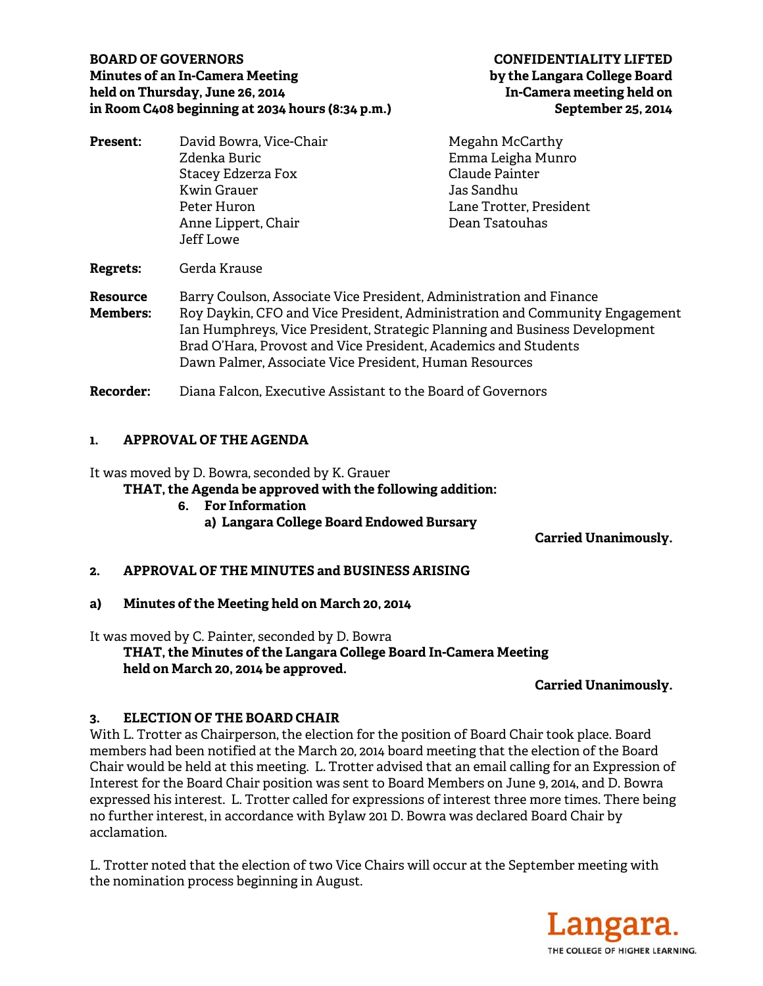## **BOARD OF GOVERNORS CONFIDENTIALITY LIFTED Minutes of an In-Camera Meeting by the Langara College Board**  held on Thursday, June 26, 2014 **In-Camera meeting held on in Room C408 beginning at 2034 hours (8:34 p.m.) September 25, 2014**

| <b>Present:</b>                    | David Bowra, Vice-Chair                                                                                                                                                                                                                                                                                                                                       | Megahn McCarthy         |
|------------------------------------|---------------------------------------------------------------------------------------------------------------------------------------------------------------------------------------------------------------------------------------------------------------------------------------------------------------------------------------------------------------|-------------------------|
|                                    | Zdenka Buric                                                                                                                                                                                                                                                                                                                                                  | Emma Leigha Munro       |
|                                    | Stacey Edzerza Fox                                                                                                                                                                                                                                                                                                                                            | Claude Painter          |
|                                    | Kwin Grauer                                                                                                                                                                                                                                                                                                                                                   | Jas Sandhu              |
|                                    | Peter Huron                                                                                                                                                                                                                                                                                                                                                   | Lane Trotter, President |
|                                    | Anne Lippert, Chair                                                                                                                                                                                                                                                                                                                                           | Dean Tsatouhas          |
|                                    | Jeff Lowe                                                                                                                                                                                                                                                                                                                                                     |                         |
| <b>Regrets:</b>                    | Gerda Krause                                                                                                                                                                                                                                                                                                                                                  |                         |
| <b>Resource</b><br><b>Members:</b> | Barry Coulson, Associate Vice President, Administration and Finance<br>Roy Daykin, CFO and Vice President, Administration and Community Engagement<br>Ian Humphreys, Vice President, Strategic Planning and Business Development<br>Brad O'Hara, Provost and Vice President, Academics and Students<br>Dawn Palmer, Associate Vice President, Human Resources |                         |
| Recorder:                          | Diana Falcon, Executive Assistant to the Board of Governors                                                                                                                                                                                                                                                                                                   |                         |

# **1. APPROVAL OF THE AGENDA**

It was moved by D. Bowra, seconded by K. Grauer

**THAT, the Agenda be approved with the following addition:** 

- **6. For Information** 
	- **a) Langara College Board Endowed Bursary**

**Carried Unanimously.** 

# **2. APPROVAL OF THE MINUTES and BUSINESS ARISING**

**a) Minutes of the Meeting held on March 20, 2014** 

It was moved by C. Painter, seconded by D. Bowra

 **THAT, the Minutes of the Langara College Board In-Camera Meeting held on March 20, 2014 be approved.** 

# **Carried Unanimously.**

# **3. ELECTION OF THE BOARD CHAIR**

With L. Trotter as Chairperson, the election for the position of Board Chair took place. Board members had been notified at the March 20, 2014 board meeting that the election of the Board Chair would be held at this meeting. L. Trotter advised that an email calling for an Expression of Interest for the Board Chair position was sent to Board Members on June 9, 2014, and D. Bowra expressed his interest. L. Trotter called for expressions of interest three more times. There being no further interest, in accordance with Bylaw 201 D. Bowra was declared Board Chair by acclamation.

L. Trotter noted that the election of two Vice Chairs will occur at the September meeting with the nomination process beginning in August.